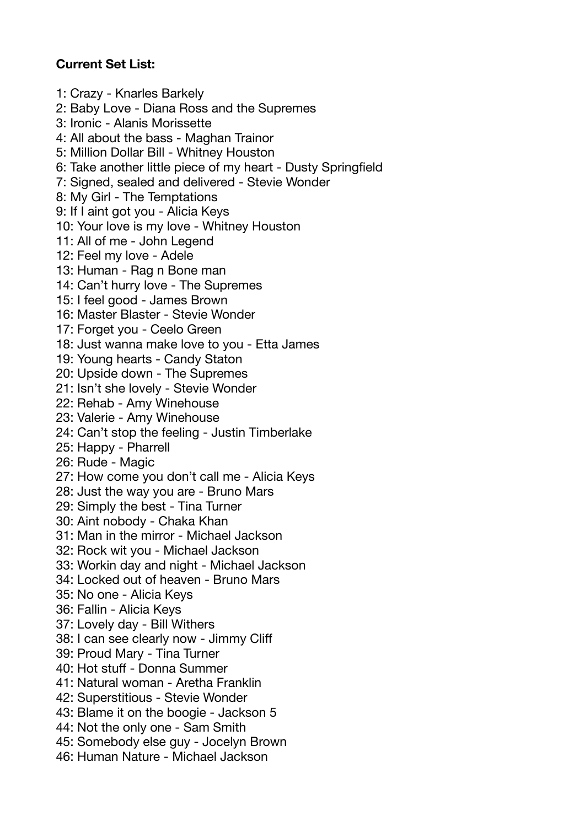## **Current Set List:**

1: Crazy - Knarles Barkely 2: Baby Love - Diana Ross and the Supremes 3: Ironic - Alanis Morissette 4: All about the bass - Maghan Trainor 5: Million Dollar Bill - Whitney Houston 6: Take another little piece of my heart - Dusty Springfield 7: Signed, sealed and delivered - Stevie Wonder 8: My Girl - The Temptations 9: If I aint got you - Alicia Keys 10: Your love is my love - Whitney Houston 11: All of me - John Legend 12: Feel my love - Adele 13: Human - Rag n Bone man 14: Can't hurry love - The Supremes 15: I feel good - James Brown 16: Master Blaster - Stevie Wonder 17: Forget you - Ceelo Green 18: Just wanna make love to you - Etta James 19: Young hearts - Candy Staton 20: Upside down - The Supremes 21: Isn't she lovely - Stevie Wonder 22: Rehab - Amy Winehouse 23: Valerie - Amy Winehouse 24: Can't stop the feeling - Justin Timberlake 25: Happy - Pharrell 26: Rude - Magic 27: How come you don't call me - Alicia Keys 28: Just the way you are - Bruno Mars 29: Simply the best - Tina Turner 30: Aint nobody - Chaka Khan 31: Man in the mirror - Michael Jackson 32: Rock wit you - Michael Jackson 33: Workin day and night - Michael Jackson 34: Locked out of heaven - Bruno Mars 35: No one - Alicia Keys 36: Fallin - Alicia Keys 37: Lovely day - Bill Withers 38: I can see clearly now - Jimmy Cliff 39: Proud Mary - Tina Turner 40: Hot stuff - Donna Summer 41: Natural woman - Aretha Franklin 42: Superstitious - Stevie Wonder 43: Blame it on the boogie - Jackson 5 44: Not the only one - Sam Smith 45: Somebody else guy - Jocelyn Brown 46: Human Nature - Michael Jackson